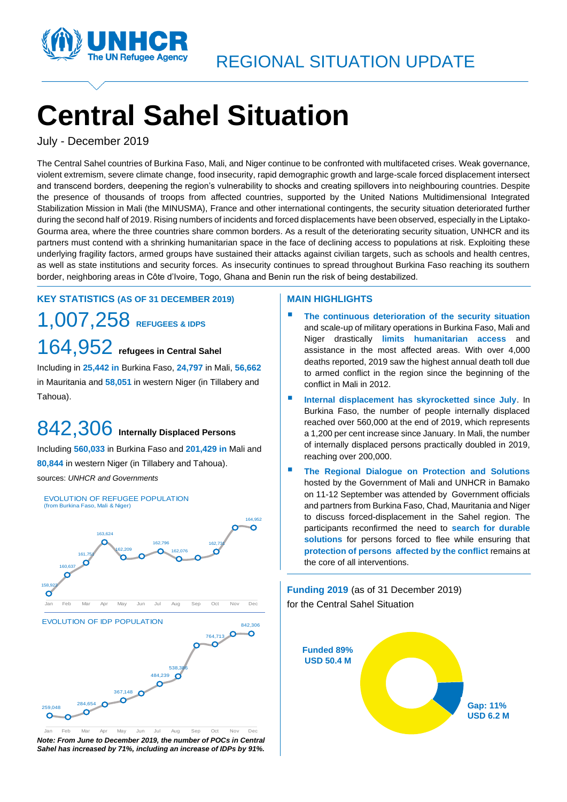

# **Central Sahel Situation**

July - December 2019

The Central Sahel countries of Burkina Faso, Mali, and Niger continue to be confronted with multifaceted crises. Weak governance, violent extremism, severe climate change, food insecurity, rapid demographic growth and large-scale forced displacement intersect and transcend borders, deepening the region's vulnerability to shocks and creating spillovers into neighbouring countries. Despite the presence of thousands of troops from affected countries, supported by the United Nations Multidimensional Integrated Stabilization Mission in Mali (the MINUSMA), France and other international contingents, the security situation deteriorated further during the second half of 2019. Rising numbers of incidents and forced displacements have been observed, especially in the Liptako-Gourma area, where the three countries share common borders. As a result of the deteriorating security situation, UNHCR and its partners must contend with a shrinking humanitarian space in the face of declining access to populations at risk. Exploiting these underlying fragility factors, armed groups have sustained their attacks against civilian targets, such as schools and health centres, as well as state institutions and security forces. As insecurity continues to spread throughout Burkina Faso reaching its southern border, neighboring areas in Côte d'Ivoire, Togo, Ghana and Benin run the risk of being destabilized.

#### **KEY STATISTICS (AS OF 31 DECEMBER 2019)**

1,007,258 **REFUGEES & IDPS** 164,952 **refugees in Central Sahel** 

Including in **25,442 in** Burkina Faso, **24,797** in Mali, **56,662**  in Mauritania and **58,051** in western Niger (in Tillabery and Tahoua).

# 842,306 **Internally Displaced Persons**

Including **560,033** in Burkina Faso and **201,429 in** Mali and **80,844** in western Niger (in Tillabery and Tahoua). sources: *UNHCR and Governments*



*Note: From June to December 2019, the number of POCs in Central Sahel has increased by 71%, including an increase of IDPs by 91%.* Jan Feb Mar Apr May Jun Jul Aug Sep Oct Nov Dec

#### **MAIN HIGHLIGHTS**

- The continuous deterioration of the security situation and scale-up of military operations in Burkina Faso, Mali and Niger drastically **limits humanitarian access** and assistance in the most affected areas. With over 4,000 deaths reported, 2019 saw the highest annual death toll due to armed conflict in the region since the beginning of the conflict in Mali in 2012.
- **Internal displacement has skyrocketted since July. In** Burkina Faso, the number of people internally displaced reached over 560,000 at the end of 2019, which represents a 1,200 per cent increase since January. In Mali, the number of internally displaced persons practically doubled in 2019, reaching over 200,000.
- **The Regional Dialogue on Protection and Solutions** hosted by the Government of Mali and UNHCR in Bamako on 11-12 September was attended by Government officials and partners from Burkina Faso, Chad, Mauritania and Niger to discuss forced-displacement in the Sahel region. The participants reconfirmed the need to **search for durable solutions** for persons forced to flee while ensuring that **protection of persons affected by the conflict** remains at the core of all interventions.

**Funding 2019** (as of 31 December 2019) for the Central Sahel Situation

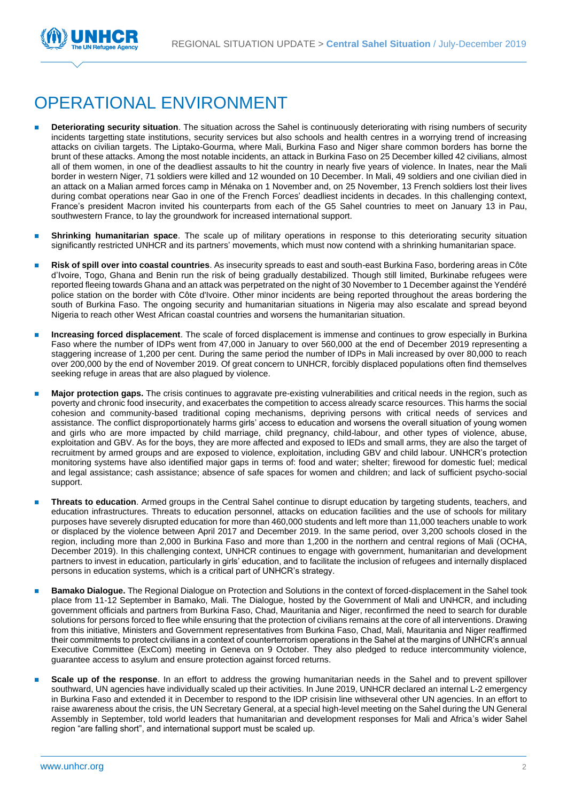

## OPERATIONAL ENVIRONMENT

- **Deteriorating security situation**. The situation across the Sahel is continuously deteriorating with rising numbers of security incidents targetting state institutions, security services but also schools and health centres in a worrying trend of increasing attacks on civilian targets. The Liptako-Gourma, where Mali, Burkina Faso and Niger share common borders has borne the brunt of these attacks. Among the most notable incidents, an attack in Burkina Faso on 25 December killed 42 civilians, almost all of them women, in one of the deadliest assaults to hit the country in nearly five years of violence. In Inates, near the Mali border in western Niger, 71 soldiers were killed and 12 wounded on 10 December. In Mali, 49 soldiers and one civilian died in an attack on a Malian armed forces camp in Ménaka on 1 November and, on 25 November, 13 French soldiers lost their lives during combat operations near Gao in one of the French Forces' deadliest incidents in decades. In this challenging context, France's president Macron invited his counterparts from each of the G5 Sahel countries to meet on January 13 in Pau, southwestern France, to lay the groundwork for increased international support.
- **Shrinking humanitarian space**. The scale up of military operations in response to this deteriorating security situation significantly restricted UNHCR and its partners' movements, which must now contend with a shrinking humanitarian space.
- ◼ **Risk of spill over into coastal countries**. As insecurity spreads to east and south-east Burkina Faso, bordering areas in Côte d'Ivoire, Togo, Ghana and Benin run the risk of being gradually destabilized. Though still limited, Burkinabe refugees were reported fleeing towards Ghana and an attack was perpetrated on the night of 30 November to 1 December against the Yendéré police station on the border with Côte d'Ivoire. Other minor incidents are being reported throughout the areas bordering the south of Burkina Faso. The ongoing security and humanitarian situations in Nigeria may also escalate and spread beyond Nigeria to reach other West African coastal countries and worsens the humanitarian situation.
- ◼ **Increasing forced displacement**. The scale of forced displacement is immense and continues to grow especially in Burkina Faso where the number of IDPs went from 47,000 in January to over 560,000 at the end of December 2019 representing a staggering increase of 1,200 per cent. During the same period the number of IDPs in Mali increased by over 80,000 to reach over 200,000 by the end of November 2019. Of great concern to UNHCR, forcibly displaced populations often find themselves seeking refuge in areas that are also plagued by violence.
- Major protection gaps. The crisis continues to aggravate pre-existing vulnerabilities and critical needs in the region, such as poverty and chronic food insecurity, and exacerbates the competition to access already scarce resources. This harms the social cohesion and community-based traditional coping mechanisms, depriving persons with critical needs of services and assistance. The conflict disproportionately harms girls' access to education and worsens the overall situation of young women and girls who are more impacted by child marriage, child pregnancy, child-labour, and other types of violence, abuse, exploitation and GBV. As for the boys, they are more affected and exposed to IEDs and small arms, they are also the target of recruitment by armed groups and are exposed to violence, exploitation, including GBV and child labour. UNHCR's protection monitoring systems have also identified major gaps in terms of: food and water; shelter; firewood for domestic fuel; medical and legal assistance; cash assistance; absence of safe spaces for women and children; and lack of sufficient psycho-social support.
- ◼ **Threats to education**. Armed groups in the Central Sahel continue to disrupt education by targeting students, teachers, and education infrastructures. Threats to education personnel, attacks on education facilities and the use of schools for military purposes have severely disrupted education for more than 460,000 students and left more than 11,000 teachers unable to work or displaced by the violence between April 2017 and December 2019. In the same period, over 3,200 schools closed in the region, including more than 2,000 in Burkina Faso and more than 1,200 in the northern and central regions of Mali [\(OCHA,](https://eur02.safelinks.protection.outlook.com/?url=https%3A%2F%2Freliefweb.int%2Fsites%2Freliefweb.int%2Ffiles%2Fresources%2FExternal%2520Weekly%252010%2520-%252016%2520December%25202019%2520ENGLISH.pdf&data=02%7C01%7Csfeira%40unhcr.org%7C7a99828f3d114f250d2508d783d2aa16%7Ce5c37981666441348a0c6543d2af80be%7C0%7C0%7C637122813124966348&sdata=mDgNKNu63AplRmb8KieX4OCLmWJHH%2FCgmXvzCn2YxKc%3D&reserved=0)  [December 2019\)](https://eur02.safelinks.protection.outlook.com/?url=https%3A%2F%2Freliefweb.int%2Fsites%2Freliefweb.int%2Ffiles%2Fresources%2FExternal%2520Weekly%252010%2520-%252016%2520December%25202019%2520ENGLISH.pdf&data=02%7C01%7Csfeira%40unhcr.org%7C7a99828f3d114f250d2508d783d2aa16%7Ce5c37981666441348a0c6543d2af80be%7C0%7C0%7C637122813124966348&sdata=mDgNKNu63AplRmb8KieX4OCLmWJHH%2FCgmXvzCn2YxKc%3D&reserved=0). In this challenging context, UNHCR continues to engage with government, humanitarian and development partners to invest in education, particularly in girls' education, and to facilitate the inclusion of refugees and internally displaced persons in education systems, which is a critical part of UNHCR's strategy.
- **Bamako Dialogue.** The Regional Dialogue on Protection and Solutions in the context of forced-displacement in the Sahel took place from 11-12 September in Bamako, Mali. The Dialogue, hosted by the Government of Mali and UNHCR, and including government officials and partners from Burkina Faso, Chad, Mauritania and Niger, reconfirmed the need to search for durable solutions for persons forced to flee while ensuring that the protection of civilians remains at the core of all interventions. Drawing from this initiative, Ministers and Government representatives from Burkina Faso, Chad, Mali, Mauritania and Niger reaffirmed their commitments to protect civilians in a context of counterterrorism operations in the Sahel at the margins of UNHCR's annual Executive Committee (ExCom) meeting in Geneva on 9 October. They also pledged to reduce intercommunity violence, guarantee access to asylum and ensure protection against forced returns.
- **Scale up of the response**. In an effort to address the growing humanitarian needs in the Sahel and to prevent spillover southward, UN agencies have individually scaled up their activities. In June 2019, UNHCR declared an internal L-2 emergency in Burkina Faso and extended it in December to respond to the IDP crisisin line withseveral other UN agencies. In an effort to raise awareness about the crisis, the UN Secretary General, at a special high-level meeting on the Sahel during the UN General Assembly in September, told world leaders that humanitarian and development responses for Mali and Africa's wider Sahel region "are falling short", and international support must be scaled up.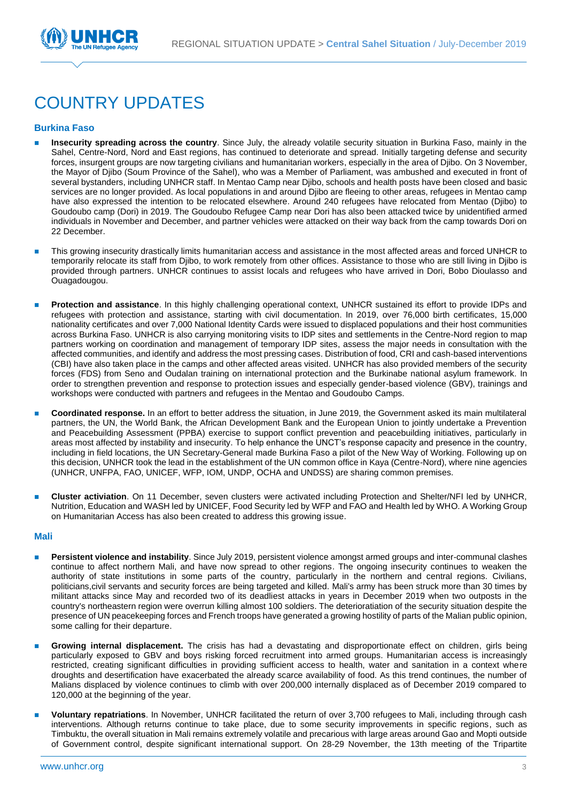

# COUNTRY UPDATES

#### **Burkina Faso**

- ◼ **Insecurity spreading across the country**. Since July, the already volatile security situation in Burkina Faso, mainly in the Sahel, Centre-Nord, Nord and East regions, has continued to deteriorate and spread. Initially targeting defense and security forces, insurgent groups are now targeting civilians and humanitarian workers, especially in the area of Djibo. On 3 November, the Mayor of Djibo (Soum Province of the Sahel), who was a Member of Parliament, was ambushed and executed in front of several bystanders, including UNHCR staff. In Mentao Camp near Djibo, schools and health posts have been closed and basic services are no longer provided. As local populations in and around Djibo are fleeing to other areas, refugees in Mentao camp have also expressed the intention to be relocated elsewhere. Around 240 refugees have relocated from Mentao (Djibo) to Goudoubo camp (Dori) in 2019. The Goudoubo Refugee Camp near Dori has also been attacked twice by unidentified armed individuals in November and December, and partner vehicles were attacked on their way back from the camp towards Dori on 22 December.
- ◼ This growing insecurity drastically limits humanitarian access and assistance in the most affected areas and forced UNHCR to temporarily relocate its staff from Djibo, to work remotely from other offices. Assistance to those who are still living in Djibo is provided through partners. UNHCR continues to assist locals and refugees who have arrived in Dori, Bobo Dioulasso and Ouagadougou.
- Protection and assistance. In this highly challenging operational context, UNHCR sustained its effort to provide IDPs and refugees with protection and assistance, starting with civil documentation. In 2019, over 76,000 birth certificates, 15,000 nationality certificates and over 7,000 National Identity Cards were issued to displaced populations and their host communities across Burkina Faso. UNHCR is also carrying monitoring visits to IDP sites and settlements in the Centre-Nord region to map partners working on coordination and management of temporary IDP sites, assess the major needs in consultation with the affected communities, and identify and address the most pressing cases. Distribution of food, CRI and cash-based interventions (CBI) have also taken place in the camps and other affected areas visited. UNHCR has also provided members of the security forces (FDS) from Seno and Oudalan training on international protection and the Burkinabe national asylum framework. In order to strengthen prevention and response to protection issues and especially gender-based violence (GBV), trainings and workshops were conducted with partners and refugees in the Mentao and Goudoubo Camps.
- ◼ **Coordinated response.** In an effort to better address the situation, in June 2019, the Government asked its main multilateral partners, the UN, the World Bank, the African Development Bank and the European Union to jointly undertake a Prevention and Peacebuilding Assessment (PPBA) exercise to support conflict prevention and peacebuilding initiatives, particularly in areas most affected by instability and insecurity. To help enhance the UNCT's response capacity and presence in the country, including in field locations, the UN Secretary-General made Burkina Faso a pilot of the New Way of Working. Following up on this decision, UNHCR took the lead in the establishment of the UN common office in Kaya (Centre-Nord), where nine agencies (UNHCR, UNFPA, FAO, UNICEF, WFP, IOM, UNDP, OCHA and UNDSS) are sharing common premises.
- ◼ **Cluster activiation**. On 11 December, seven clusters were activated including Protection and Shelter/NFI led by UNHCR, Nutrition, Education and WASH led by UNICEF, Food Security led by WFP and FAO and Health led by WHO. A Working Group on Humanitarian Access has also been created to address this growing issue.

#### **Mali**

- ◼ **Persistent violence and instability**. Since July 2019, persistent violence amongst armed groups and inter-communal clashes continue to affect northern Mali, and have now spread to other regions. The ongoing insecurity continues to weaken the authority of state institutions in some parts of the country, particularly in the northern and central regions. Civilians, politicians,civil servants and security forces are being targeted and killed. Mali's army has been struck more than 30 times by militant attacks since May and recorded two of its deadliest attacks in years in December 2019 when two outposts in the country's northeastern region were overrun killing almost 100 soldiers. The deterioratiation of the security situation despite the presence of UN peacekeeping forces and French troops have generated a growing hostility of parts of the Malian public opinion, some calling for their departure.
- Growing internal displacement. The crisis has had a devastating and disproportionate effect on children, girls being particularly exposed to GBV and boys risking forced recruitment into armed groups. Humanitarian access is increasingly restricted, creating significant difficulties in providing sufficient access to health, water and sanitation in a context where droughts and desertification have exacerbated the already scarce availability of food. As this trend continues, the number of Malians displaced by violence continues to climb with over 200,000 internally displaced as of December 2019 compared to 120,000 at the beginning of the year.
- ◼ **Voluntary repatriations**. In November, UNHCR facilitated the return of over 3,700 refugees to Mali, including through cash interventions. Although returns continue to take place, due to some security improvements in specific regions, such as Timbuktu, the overall situation in Mali remains extremely volatile and precarious with large areas around Gao and Mopti outside of Government control, despite significant international support. On 28-29 November, the 13th meeting of the Tripartite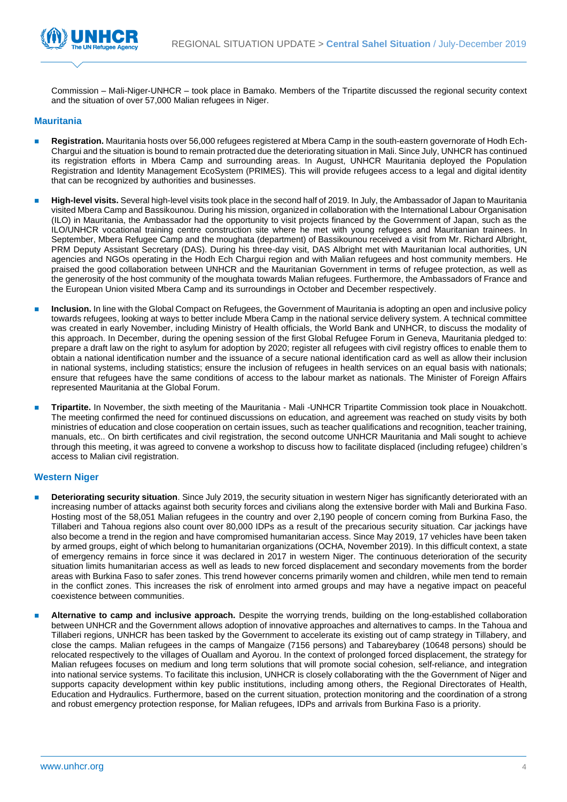

Commission – Mali-Niger-UNHCR – took place in Bamako. Members of the Tripartite discussed the regional security context and the situation of over 57,000 Malian refugees in Niger.

#### **Mauritania**

- ◼ **Registration.** Mauritania hosts over 56,000 refugees registered at Mbera Camp in the south-eastern governorate of Hodh Ech-Chargui and the situation is bound to remain protracted due the deteriorating situation in Mali. Since July, UNHCR has continued its registration efforts in Mbera Camp and surrounding areas. In August, UNHCR Mauritania deployed the Population Registration and Identity Management EcoSystem (PRIMES). This will provide refugees access to a legal and digital identity that can be recognized by authorities and businesses.
- High-level visits. Several high-level visits took place in the second half of 2019. In July, the Ambassador of Japan to Mauritania visited Mbera Camp and Bassikounou. During his mission, organized in collaboration with the International Labour Organisation (ILO) in Mauritania, the Ambassador had the opportunity to visit projects financed by the Government of Japan, such as the ILO/UNHCR vocational training centre construction site where he met with young refugees and Mauritanian trainees. In September, Mbera Refugee Camp and the moughata (department) of Bassikounou received a visit from Mr. Richard Albright, PRM Deputy Assistant Secretary (DAS). During his three-day visit, DAS Albright met with Mauritanian local authorities, UN agencies and NGOs operating in the Hodh Ech Chargui region and with Malian refugees and host community members. He praised the good collaboration between UNHCR and the Mauritanian Government in terms of refugee protection, as well as the generosity of the host community of the moughata towards Malian refugees. Furthermore, the Ambassadors of France and the European Union visited Mbera Camp and its surroundings in October and December respectively.
- Inclusion. In line with the Global Compact on Refugees, the Government of Mauritania is adopting an open and inclusive policy towards refugees, looking at ways to better include Mbera Camp in the national service delivery system. A technical committee was created in early November, including Ministry of Health officials, the World Bank and UNHCR, to discuss the modality of this approach. In December, during the opening session of the first Global Refugee Forum in Geneva, Mauritania pledged to: prepare a draft law on the right to asylum for adoption by 2020; register all refugees with civil registry offices to enable them to obtain a national identification number and the issuance of a secure national identification card as well as allow their inclusion in national systems, including statistics; ensure the inclusion of refugees in health services on an equal basis with nationals; ensure that refugees have the same conditions of access to the labour market as nationals. The Minister of Foreign Affairs represented Mauritania at the Global Forum.
- ◼ **Tripartite.** In November, the sixth meeting of the Mauritania Mali -UNHCR Tripartite Commission took place in Nouakchott. The meeting confirmed the need for continued discussions on education, and agreement was reached on study visits by both ministries of education and close cooperation on certain issues, such as teacher qualifications and recognition, teacher training, manuals, etc.. On birth certificates and civil registration, the second outcome UNHCR Mauritania and Mali sought to achieve through this meeting, it was agreed to convene a workshop to discuss how to facilitate displaced (including refugee) children's access to Malian civil registration.

#### **Western Niger**

- ◼ **Deteriorating security situation**. Since July 2019, the security situation in western Niger has significantly deteriorated with an increasing number of attacks against both security forces and civilians along the extensive border with Mali and Burkina Faso. Hosting most of the 58,051 Malian refugees in the country and over 2,190 people of concern coming from Burkina Faso, the Tillaberi and Tahoua regions also count over 80,000 IDPs as a result of the precarious security situation. Car jackings have also become a trend in the region and have compromised humanitarian access. Since May 2019, 17 vehicles have been taken by armed groups, eight of which belong to humanitarian organizations (OCHA, November 2019). In this difficult context, a state of emergency remains in force since it was declared in 2017 in western Niger. The continuous deterioration of the security situation limits humanitarian access as well as leads to new forced displacement and secondary movements from the border areas with Burkina Faso to safer zones. This trend however concerns primarily women and children, while men tend to remain in the conflict zones. This increases the risk of enrolment into armed groups and may have a negative impact on peaceful coexistence between communities.
- ◼ **Alternative to camp and inclusive approach.** Despite the worrying trends, building on the long-established collaboration between UNHCR and the Government allows adoption of innovative approaches and alternatives to camps. In the Tahoua and Tillaberi regions, UNHCR has been tasked by the Government to accelerate its existing out of camp strategy in Tillabery, and close the camps. Malian refugees in the camps of Mangaize (7156 persons) and Tabareybarey (10648 persons) should be relocated respectively to the villages of Ouallam and Ayorou. In the context of prolonged forced displacement, the strategy for Malian refugees focuses on medium and long term solutions that will promote social cohesion, self-reliance, and integration into national service systems. To facilitate this inclusion, UNHCR is closely collaborating with the the Government of Niger and supports capacity development within key public institutions, including among others, the Regional Directorates of Health, Education and Hydraulics. Furthermore, based on the current situation, protection monitoring and the coordination of a strong and robust emergency protection response, for Malian refugees, IDPs and arrivals from Burkina Faso is a priority.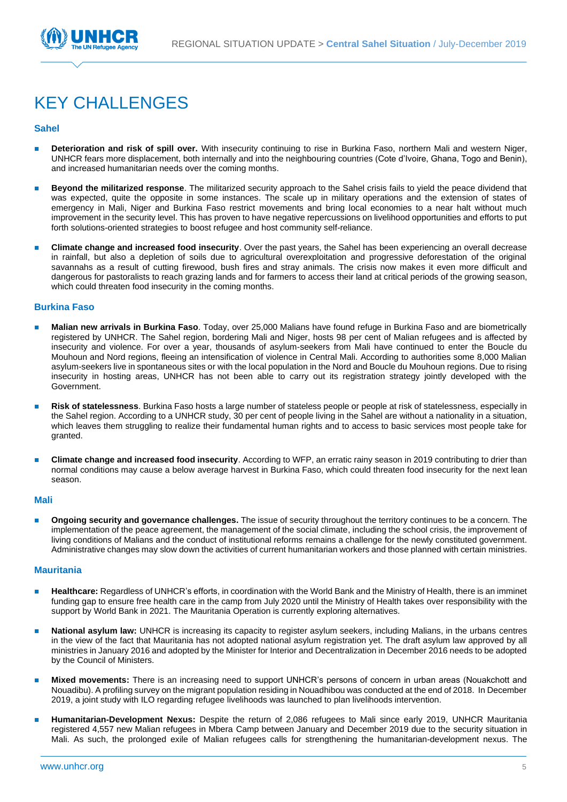

# KEY CHALLENGES

#### **Sahel**

- Deterioration and risk of spill over. With insecurity continuing to rise in Burkina Faso, northern Mali and western Niger, UNHCR fears more displacement, both internally and into the neighbouring countries (Cote d'Ivoire, Ghana, Togo and Benin), and increased humanitarian needs over the coming months.
- ◼ **Beyond the militarized response**. The militarized security approach to the Sahel crisis fails to yield the peace dividend that was expected, quite the opposite in some instances. The scale up in military operations and the extension of states of emergency in Mali, Niger and Burkina Faso restrict movements and bring local economies to a near halt without much improvement in the security level. This has proven to have negative repercussions on livelihood opportunities and efforts to put forth solutions-oriented strategies to boost refugee and host community self-reliance.
- ◼ **Climate change and increased food insecurity**. Over the past years, the Sahel has been experiencing an overall decrease in rainfall, but also a depletion of soils due to agricultural overexploitation and progressive deforestation of the original savannahs as a result of cutting firewood, bush fires and stray animals. The crisis now makes it even more difficult and dangerous for pastoralists to reach grazing lands and for farmers to access their land at critical periods of the growing season, which could threaten food insecurity in the coming months.

#### **Burkina Faso**

- ◼ **Malian new arrivals in Burkina Faso**. Today, over 25,000 Malians have found refuge in Burkina Faso and are biometrically registered by UNHCR. The Sahel region, bordering Mali and Niger, hosts 98 per cent of Malian refugees and is affected by insecurity and violence. For over a year, thousands of asylum-seekers from Mali have continued to enter the Boucle du Mouhoun and Nord regions, fleeing an intensification of violence in Central Mali. According to authorities some 8,000 Malian asylum-seekers live in spontaneous sites or with the local population in the Nord and Boucle du Mouhoun regions. Due to rising insecurity in hosting areas, UNHCR has not been able to carry out its registration strategy jointly developed with the Government.
- ◼ **Risk of statelessness**. Burkina Faso hosts a large number of stateless people or people at risk of statelessness, especially in the Sahel region. According to a UNHCR study, 30 per cent of people living in the Sahel are without a nationality in a situation, which leaves them struggling to realize their fundamental human rights and to access to basic services most people take for granted.
- ◼ **Climate change and increased food insecurity**. According to WFP, an erratic rainy season in 2019 contributing to drier than normal conditions may cause a below average harvest in Burkina Faso, which could threaten food insecurity for the next lean season.

#### **Mali**

◼ **Ongoing security and governance challenges.** The issue of security throughout the territory continues to be a concern. The implementation of the peace agreement, the management of the social climate, including the school crisis, the improvement of living conditions of Malians and the conduct of institutional reforms remains a challenge for the newly constituted government. Administrative changes may slow down the activities of current humanitarian workers and those planned with certain ministries.

#### **Mauritania**

- **Healthcare:** Regardless of UNHCR's efforts, in coordination with the World Bank and the Ministry of Health, there is an imminet funding gap to ensure free health care in the camp from July 2020 until the Ministry of Health takes over responsibility with the support by World Bank in 2021. The Mauritania Operation is currently exploring alternatives.
- National asylum law: UNHCR is increasing its capacity to register asylum seekers, including Malians, in the urbans centres in the view of the fact that Mauritania has not adopted national asylum registration yet. The draft asylum law approved by all ministries in January 2016 and adopted by the Minister for Interior and Decentralization in December 2016 needs to be adopted by the Council of Ministers.
- ◼ **Mixed movements:** There is an increasing need to support UNHCR's persons of concern in urban areas (Nouakchott and Nouadibu). A profiling survey on the migrant population residing in Nouadhibou was conducted at the end of 2018. In December 2019, a joint study with ILO regarding refugee livelihoods was launched to plan livelihoods intervention.
- ◼ **Humanitarian-Development Nexus:** Despite the return of 2,086 refugees to Mali since early 2019, UNHCR Mauritania registered 4,557 new Malian refugees in Mbera Camp between January and December 2019 due to the security situation in Mali. As such, the prolonged exile of Malian refugees calls for strengthening the humanitarian-development nexus. The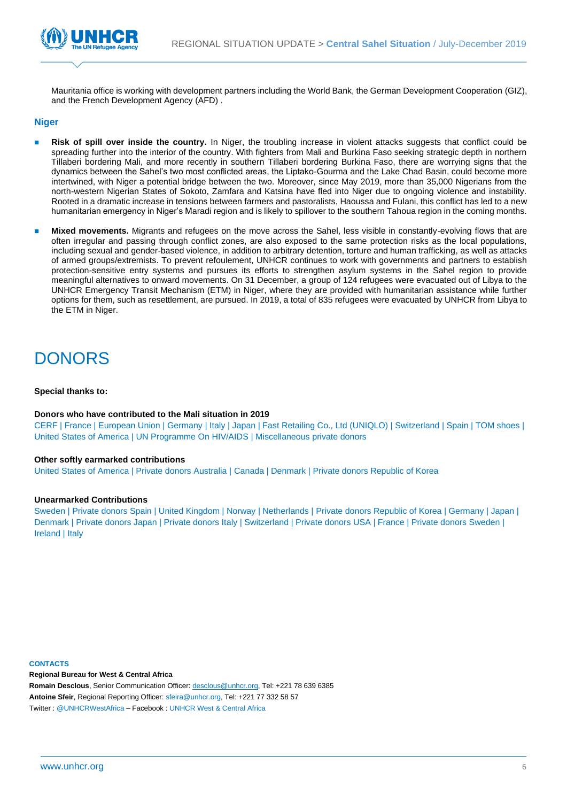

Mauritania office is working with development partners including the World Bank, the German Development Cooperation (GIZ), and the French Development Agency (AFD) .

#### **Niger**

- **Risk of spill over inside the country.** In Niger, the troubling increase in violent attacks suggests that conflict could be spreading further into the interior of the country. With fighters from Mali and Burkina Faso seeking strategic depth in northern Tillaberi bordering Mali, and more recently in southern Tillaberi bordering Burkina Faso, there are worrying signs that the dynamics between the Sahel's two most conflicted areas, the Liptako-Gourma and the Lake Chad Basin, could become more intertwined, with Niger a potential bridge between the two. Moreover, since May 2019, more than 35,000 Nigerians from the north-western Nigerian States of Sokoto, Zamfara and Katsina have fled into Niger due to ongoing violence and instability. Rooted in a dramatic increase in tensions between farmers and pastoralists, Haoussa and Fulani, this conflict has led to a new humanitarian emergency in Niger's Maradi region and is likely to spillover to the southern Tahoua region in the coming months.
- Mixed movements. Migrants and refugees on the move across the Sahel, less visible in constantly-evolving flows that are often irregular and passing through conflict zones, are also exposed to the same protection risks as the local populations, including sexual and gender-based violence, in addition to arbitrary detention, torture and human trafficking, as well as attacks of armed groups/extremists. To prevent refoulement, UNHCR continues to work with governments and partners to establish protection-sensitive entry systems and pursues its efforts to strengthen asylum systems in the Sahel region to provide meaningful alternatives to onward movements. On 31 December, a group of 124 refugees were evacuated out of Libya to the UNHCR Emergency Transit Mechanism (ETM) in Niger, where they are provided with humanitarian assistance while further options for them, such as resettlement, are pursued. In 2019, a total of 835 refugees were evacuated by UNHCR from Libya to the ETM in Niger.

### **DONORS**

#### **Special thanks to:**

#### **Donors who have contributed to the Mali situation in 2019**

CERF | France | European Union | Germany | Italy | Japan | Fast Retailing Co., Ltd (UNIQLO) | Switzerland | Spain | TOM shoes | United States of America | UN Programme On HIV/AIDS | Miscellaneous private donors

#### **Other softly earmarked contributions**

United States of America | Private donors Australia | Canada | Denmark | Private donors Republic of Korea

#### **Unearmarked Contributions**

Sweden | Private donors Spain | United Kingdom | Norway | Netherlands | Private donors Republic of Korea | Germany | Japan | Denmark | Private donors Japan | Private donors Italy | Switzerland | Private donors USA | France | Private donors Sweden | Ireland | Italy

**CONTACTS** 

**Regional Bureau for West & Central Africa**

**Romain Desclous**, Senior Communication Officer: desclous@unhcr.org, Tel: +221 78 639 6385 **Antoine Sfeir**, Regional Reporting Officer[: sfeira@unhcr.org,](mailto:sfeira@unhcr.org) Tel: +221 77 332 58 57 Twitter : @UNHCRWestAfrica – Facebook : UNHCR West & Central Africa